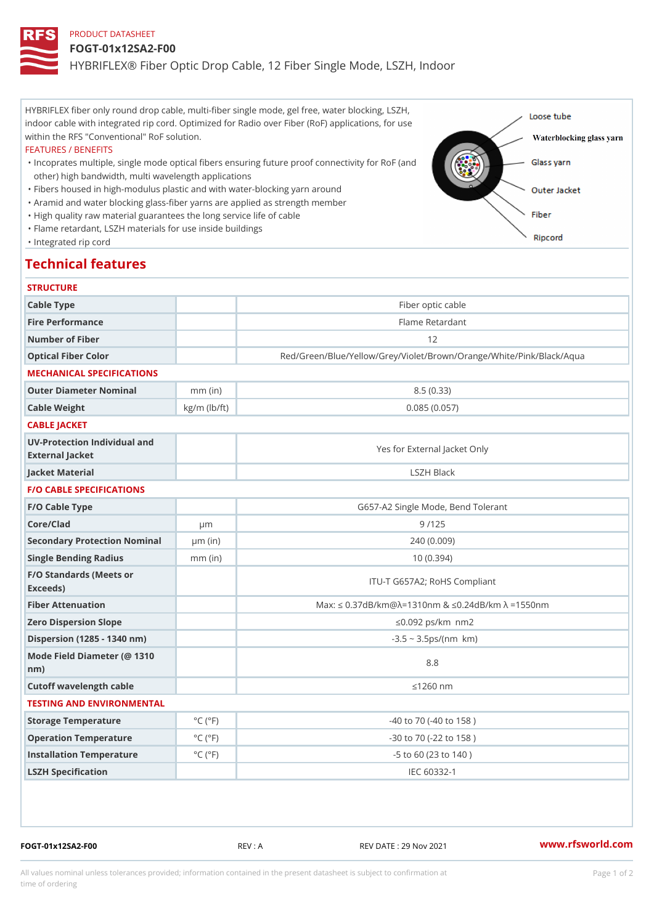# PRODUCT DATASHEET

### FOGT-01x12SA2-F00

HYBRIFLEX® Fiber Optic Drop Cable, 12 Fiber Single Mode, LSZH, Ind

HYBRIFLEX fiber only round drop cable, multi-fiber single mode, gel free, water blocking, LSZH, indoor cable with integrated rip cord. Optimized for Radio over Fiber (RoF) applications, for use within the RFS "Conventional" RoF solution.

#### FEATURES / BENEFITS

"Incoprates multiple, single mode optical fibers ensuring future proof connectivity for RoF (and other) high bandwidth, multi wavelength applications

- "Fibers housed in high-modulus plastic and with water-blocking yarn around
- "Aramid and water blocking glass-fiber yarns are applied as strength member
- "High quality raw material guarantees the long service life of cable
- "Flame retardant, LSZH materials for use inside buildings

"Integrated rip cord

# Technical features

| <b>STRUCTURE</b>                                 |                             |                                                                         |
|--------------------------------------------------|-----------------------------|-------------------------------------------------------------------------|
| Cable Type                                       |                             | Fiber optic cable                                                       |
| Fire Performance                                 |                             | Flame Retardant                                                         |
| Number of Fiber                                  |                             | 12                                                                      |
| Optical Fiber Color                              |                             | Red/Green/Blue/Yellow/Grey/Violet/Brown/Orange/White/Pin                |
| MECHANICAL SPECIFICATIONS                        |                             |                                                                         |
| Outer Diameter Nominal                           | $mm$ (in)                   | 8.5(0.33)                                                               |
| Cable Weight                                     | $kg/m$ ( $lb/ft$ )          | 0.085(0.057)                                                            |
| CABLE JACKET                                     |                             |                                                                         |
| UV-Protection Individual and<br>External Jacket  |                             | Yes for External Jacket Only                                            |
| Jacket Material                                  |                             | LSZH Black                                                              |
| <b>F/O CABLE SPECIFICATIONS</b>                  |                             |                                                                         |
| F/O Cable Type                                   |                             | G657-A2 Single Mode, Bend Tolerant                                      |
| Core/Clad                                        | µ m                         | 9/125                                                                   |
| Secondary Protection Nomimal(in)                 |                             | 240(0.009)                                                              |
| Single Bending Radius                            | $mm$ (in)                   | 10(0.394)                                                               |
| F/O Standards (Meets or<br>Exceeds)              |                             | ITU-T G657A2; RoHS Compliant                                            |
| Fiber Attenuation                                |                             | Max: "d $0.37$ dB/km @ $\approx$ =1310nm & "d0.24dB/km $\approx$ =1550n |
| Zero Dispersion Slope                            |                             | "d0.092 ps/km§•nm2                                                      |
| Dispersion (1285 - 1340 nm)                      |                             | $-3.5 - 3.5 ps/(n m\$ *km)                                              |
| Mode Field Diameter (@ 1310<br>$n \, \text{m}$ ) |                             | $8.8$                                                                   |
| Cutoff wavelength cable                          |                             | "d1260 nm                                                               |
| TESTING AND ENVIRONMENTAL                        |                             |                                                                         |
| Storage Temperature                              | $^{\circ}$ C ( $^{\circ}$ F | $-40$ to $70$ ( $-40$ to $158$ )                                        |
| Operation Temperature                            | $^{\circ}$ C ( $^{\circ}$ F | $-30$ to $70$ ( $-22$ to $158$ )                                        |
| Installation Temperature                         | $^{\circ}$ C ( $^{\circ}$ F | $-5$ to 60 (23 to 140)                                                  |
| LSZH Specification                               |                             | IEC 60332-1                                                             |

FOGT-01x12SA2-F00 REV : A REV DATE : 29 Nov 2021 [www.](https://www.rfsworld.com)rfsworld.com